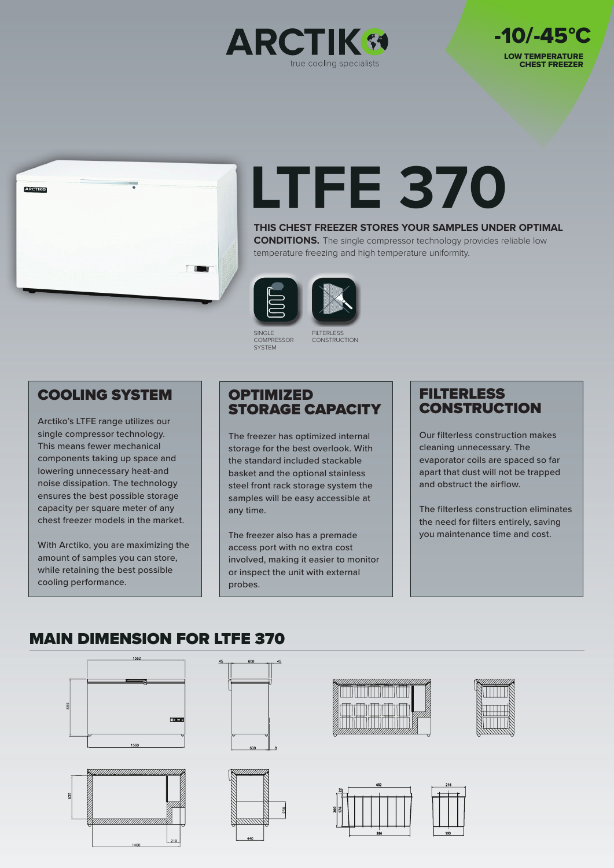





# **LTFE 370**

**THIS CHEST FREEZER STORES YOUR SAMPLES UNDER OPTIMAL CONDITIONS.** The single compressor technology provides reliable low temperature freezing and high temperature uniformity.

![](_page_0_Picture_5.jpeg)

![](_page_0_Picture_6.jpeg)

SINGLE **COMPRESSOR SYSTEM** 

FILTERLESS **CONSTRUCTION** 

## COOLING SYSTEM

Arctiko's LTFE range utilizes our single compressor technology. This means fewer mechanical components taking up space and lowering unnecessary heat-and noise dissipation. The technology ensures the best possible storage capacity per square meter of any chest freezer models in the market.

With Arctiko, you are maximizing the amount of samples you can store, while retaining the best possible cooling performance.

### **OPTIMIZED** STORAGE CAPACITY

The freezer has optimized internal storage for the best overlook. With the standard included stackable basket and the optional stainless steel front rack storage system the samples will be easy accessible at any time.

The freezer also has a premade access port with no extra cost involved, making it easier to monitor or inspect the unit with external probes.

## **FILTERLESS CONSTRUCTION**

Our filterless construction makes cleaning unnecessary. The evaporator coils are spaced so far apart that dust will not be trapped and obstruct the airflow.

The filterless construction eliminates the need for filters entirely, saving you maintenance time and cost.

# MAIN DIMENSION FOR LTFE 370

![](_page_0_Figure_19.jpeg)